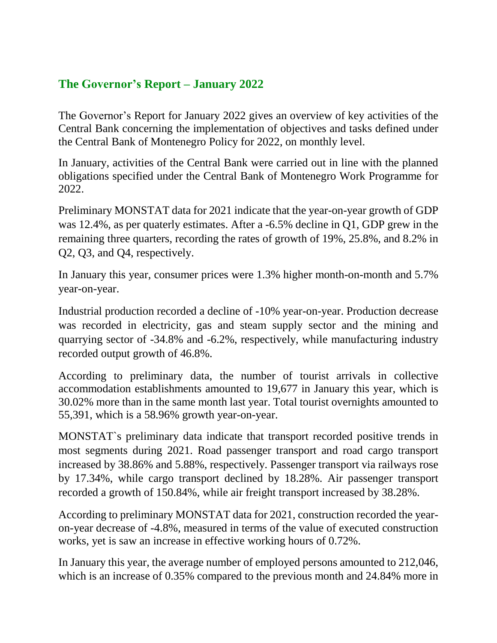## **The Governor's Report – January 2022**

The Governor's Report for January 2022 gives an overview of key activities of the Central Bank concerning the implementation of objectives and tasks defined under the Central Bank of Montenegro Policy for 2022, on monthly level.

In January, activities of the Central Bank were carried out in line with the planned obligations specified under the Central Bank of Montenegro Work Programme for 2022.

Preliminary MONSTAT data for 2021 indicate that the year-on-year growth of GDP was 12.4%, as per quaterly estimates. After a -6.5% decline in Q1, GDP grew in the remaining three quarters, recording the rates of growth of 19%, 25.8%, and 8.2% in Q2, Q3, and Q4, respectively.

In January this year, consumer prices were 1.3% higher month-on-month and 5.7% year-on-year.

Industrial production recorded a decline of -10% year-on-year. Production decrease was recorded in electricity, gas and steam supply sector and the mining and quarrying sector of -34.8% and -6.2%, respectively, while manufacturing industry recorded output growth of 46.8%.

According to preliminary data, the number of tourist arrivals in collective accommodation establishments amounted to 19,677 in January this year, which is 30.02% more than in the same month last year. Total tourist overnights amounted to 55,391, which is a 58.96% growth year-on-year.

MONSTAT`s preliminary data indicate that transport recorded positive trends in most segments during 2021. Road passenger transport and road cargo transport increased by 38.86% and 5.88%, respectively. Passenger transport via railways rose by 17.34%, while cargo transport declined by 18.28%. Air passenger transport recorded a growth of 150.84%, while air freight transport increased by 38.28%.

According to preliminary MONSTAT data for 2021, construction recorded the yearon-year decrease of -4.8%, measured in terms of the value of executed construction works, yet is saw an increase in effective working hours of 0.72%.

In January this year, the average number of employed persons amounted to 212,046, which is an increase of 0.35% compared to the previous month and 24.84% more in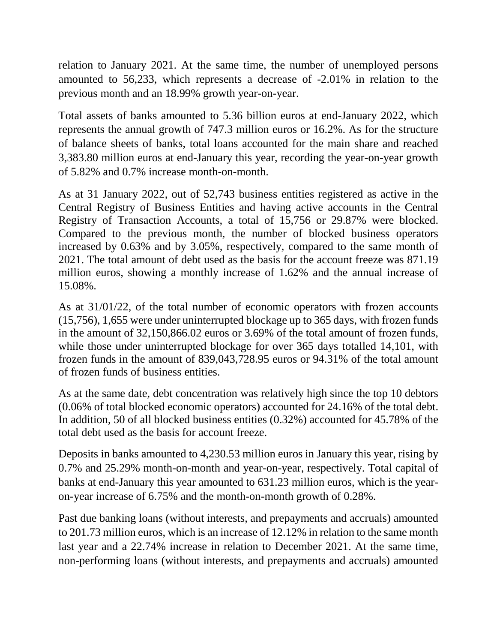relation to January 2021. At the same time, the number of unemployed persons amounted to 56,233, which represents a decrease of -2.01% in relation to the previous month and an 18.99% growth year-on-year.

Total assets of banks amounted to 5.36 billion euros at end-January 2022, which represents the annual growth of 747.3 million euros or 16.2%. As for the structure of balance sheets of banks, total loans accounted for the main share and reached 3,383.80 million euros at end-January this year, recording the year-on-year growth of 5.82% and 0.7% increase month-on-month.

As at 31 January 2022, out of 52,743 business entities registered as active in the Central Registry of Business Entities and having active accounts in the Central Registry of Transaction Accounts, a total of 15,756 or 29.87% were blocked. Compared to the previous month, the number of blocked business operators increased by 0.63% and by 3.05%, respectively, compared to the same month of 2021. The total amount of debt used as the basis for the account freeze was 871.19 million euros, showing a monthly increase of 1.62% and the annual increase of 15.08%.

As at 31/01/22, of the total number of economic operators with frozen accounts (15,756), 1,655 were under uninterrupted blockage up to 365 days, with frozen funds in the amount of 32,150,866.02 euros or 3.69% of the total amount of frozen funds, while those under uninterrupted blockage for over 365 days totalled 14,101, with frozen funds in the amount of 839,043,728.95 euros or 94.31% of the total amount of frozen funds of business entities.

As at the same date, debt concentration was relatively high since the top 10 debtors (0.06% of total blocked economic operators) accounted for 24.16% of the total debt. In addition, 50 of all blocked business entities (0.32%) accounted for 45.78% of the total debt used as the basis for account freeze.

Deposits in banks amounted to 4,230.53 million euros in January this year, rising by 0.7% and 25.29% month-on-month and year-on-year, respectively. Total capital of banks at end-January this year amounted to 631.23 million euros, which is the yearon-year increase of 6.75% and the month-on-month growth of 0.28%.

Past due banking loans (without interests, and prepayments and accruals) amounted to 201.73 million euros, which is an increase of 12.12% in relation to the same month last year and a 22.74% increase in relation to December 2021. At the same time, non-performing loans (without interests, and prepayments and accruals) amounted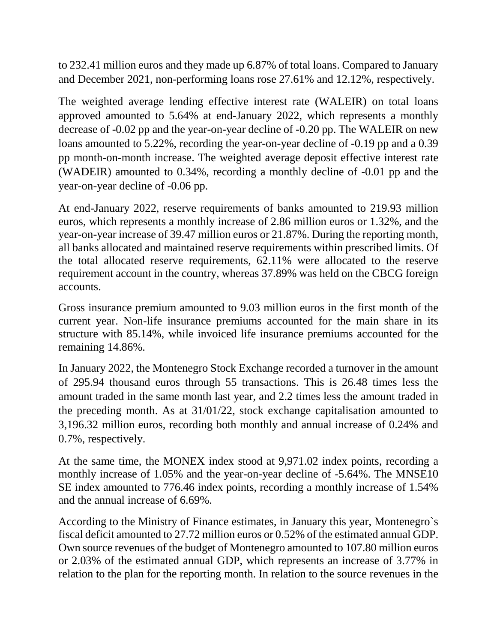to 232.41 million euros and they made up 6.87% of total loans. Compared to January and December 2021, non-performing loans rose 27.61% and 12.12%, respectively.

The weighted average lending effective interest rate (WALEIR) on total loans approved amounted to 5.64% at end-January 2022, which represents a monthly decrease of -0.02 pp and the year-on-year decline of -0.20 pp. The WALEIR on new loans amounted to 5.22%, recording the year-on-year decline of -0.19 pp and a 0.39 pp month-on-month increase. The weighted average deposit effective interest rate (WADEIR) amounted to 0.34%, recording a monthly decline of -0.01 pp and the year-on-year decline of -0.06 pp.

At end-January 2022, reserve requirements of banks amounted to 219.93 million euros, which represents a monthly increase of 2.86 million euros or 1.32%, and the year-on-year increase of 39.47 million euros or 21.87%. During the reporting month, all banks allocated and maintained reserve requirements within prescribed limits. Of the total allocated reserve requirements, 62.11% were allocated to the reserve requirement account in the country, whereas 37.89% was held on the CBCG foreign accounts.

Gross insurance premium amounted to 9.03 million euros in the first month of the current year. Non-life insurance premiums accounted for the main share in its structure with 85.14%, while invoiced life insurance premiums accounted for the remaining 14.86%.

In January 2022, the Montenegro Stock Exchange recorded a turnover in the amount of 295.94 thousand euros through 55 transactions. This is 26.48 times less the amount traded in the same month last year, and 2.2 times less the amount traded in the preceding month. As at 31/01/22, stock exchange capitalisation amounted to 3,196.32 million euros, recording both monthly and annual increase of 0.24% and 0.7%, respectively.

At the same time, the MONEX index stood at 9,971.02 index points, recording a monthly increase of 1.05% and the year-on-year decline of -5.64%. The MNSE10 SE index amounted to 776.46 index points, recording a monthly increase of 1.54% and the annual increase of 6.69%.

According to the Ministry of Finance estimates, in January this year, Montenegro`s fiscal deficit amounted to 27.72 million euros or 0.52% of the estimated annual GDP. Own source revenues of the budget of Montenegro amounted to 107.80 million euros or 2.03% of the estimated annual GDP, which represents an increase of 3.77% in relation to the plan for the reporting month. In relation to the source revenues in the